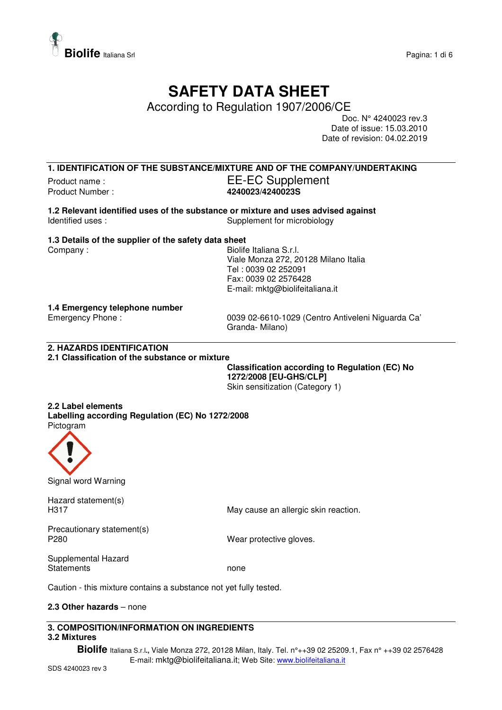

# **SAFETY DATA SHEET**

According to Regulation 1907/2006/CE

Doc. N° 4240023 rev.3 Date of issue: 15.03.2010 Date of revision: 04.02.2019

**1. IDENTIFICATION OF THE SUBSTANCE/MIXTURE AND OF THE COMPANY/UNDERTAKING** Product name : The Supplement EE-EC Supplement Product Number : **4240023/4240023S**

**1.2 Relevant identified uses of the substance or mixture and uses advised against**  Identified uses : Supplement for microbiology

## **1.3 Details of the supplier of the safety data sheet**

Company : Georgia Company : Georgia Company : Georgia Company : Georgia Company is a Biolife Italiana S.r.l. Viale Monza 272, 20128 Milano Italia Tel : 0039 02 252091 Fax: 0039 02 2576428 E-mail: mktg@biolifeitaliana.it

## **1.4 Emergency telephone number**

Emergency Phone : 0039 02-6610-1029 (Centro Antiveleni Niguarda Ca' Granda- Milano)

# **2. HAZARDS IDENTIFICATION**

## **2.1 Classification of the substance or mixture**

**Classification according to Regulation (EC) No 1272/2008 [EU-GHS/CLP]**  Skin sensitization (Category 1)

#### **2.2 Label elements Labelling according Regulation (EC) No 1272/2008**  Pictogram



Signal word Warning

Hazard statement(s)

H317 May cause an allergic skin reaction.

Precautionary statement(s)<br>P280

Wear protective gloves.

Supplemental Hazard Statements none

Caution - this mixture contains a substance not yet fully tested.

## **2.3 Other hazards** – none

# **3. COMPOSITION/INFORMATION ON INGREDIENTS 3.2 Mixtures**

**Biolife** Italiana S.r.l**.,** Viale Monza 272, 20128 Milan, Italy. Tel. n°++39 02 25209.1, Fax n° ++39 02 2576428 E-mail: mktg@biolifeitaliana.it; Web Site: www.biolifeitaliana.it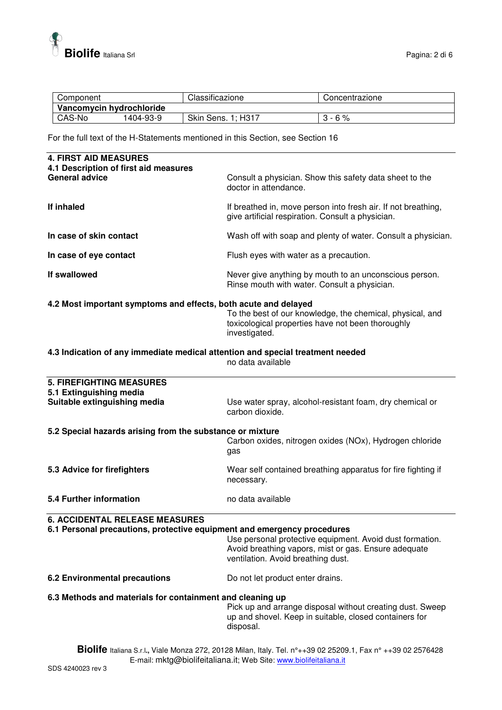

| Component                |           | Classificazione          | Concentrazione |
|--------------------------|-----------|--------------------------|----------------|
| Vancomycin hydrochloride |           |                          |                |
| CAS-No                   | 1404-93-9 | Skin Sens. 1;<br>1: H317 | 6%             |

For the full text of the H-Statements mentioned in this Section, see Section 16

| <b>4. FIRST AID MEASURES</b><br>4.1 Description of first aid measures                                                                                                             |                                                                                                                                                        |  |
|-----------------------------------------------------------------------------------------------------------------------------------------------------------------------------------|--------------------------------------------------------------------------------------------------------------------------------------------------------|--|
| <b>General advice</b>                                                                                                                                                             | Consult a physician. Show this safety data sheet to the<br>doctor in attendance.                                                                       |  |
| If inhaled                                                                                                                                                                        | If breathed in, move person into fresh air. If not breathing,<br>give artificial respiration. Consult a physician.                                     |  |
| In case of skin contact                                                                                                                                                           | Wash off with soap and plenty of water. Consult a physician.                                                                                           |  |
| In case of eye contact                                                                                                                                                            | Flush eyes with water as a precaution.                                                                                                                 |  |
| If swallowed                                                                                                                                                                      | Never give anything by mouth to an unconscious person.<br>Rinse mouth with water. Consult a physician.                                                 |  |
| 4.2 Most important symptoms and effects, both acute and delayed                                                                                                                   | To the best of our knowledge, the chemical, physical, and<br>toxicological properties have not been thoroughly<br>investigated.                        |  |
| 4.3 Indication of any immediate medical attention and special treatment needed                                                                                                    | no data available                                                                                                                                      |  |
| <b>5. FIREFIGHTING MEASURES</b>                                                                                                                                                   |                                                                                                                                                        |  |
| 5.1 Extinguishing media<br>Suitable extinguishing media                                                                                                                           | Use water spray, alcohol-resistant foam, dry chemical or<br>carbon dioxide.                                                                            |  |
| 5.2 Special hazards arising from the substance or mixture                                                                                                                         | Carbon oxides, nitrogen oxides (NOx), Hydrogen chloride<br>gas                                                                                         |  |
| 5.3 Advice for firefighters                                                                                                                                                       | Wear self contained breathing apparatus for fire fighting if<br>necessary.                                                                             |  |
| 5.4 Further information                                                                                                                                                           | no data available                                                                                                                                      |  |
| <b>6. ACCIDENTAL RELEASE MEASURES</b><br>6.1 Personal precautions, protective equipment and emergency procedures                                                                  | Use personal protective equipment. Avoid dust formation.<br>Avoid breathing vapors, mist or gas. Ensure adequate<br>ventilation. Avoid breathing dust. |  |
| <b>6.2 Environmental precautions</b>                                                                                                                                              | Do not let product enter drains.                                                                                                                       |  |
| 6.3 Methods and materials for containment and cleaning up                                                                                                                         | Pick up and arrange disposal without creating dust. Sweep<br>up and shovel. Keep in suitable, closed containers for<br>disposal.                       |  |
| Biolife Italiana S.r.l., Viale Monza 272, 20128 Milan, Italy. Tel. n°++39 02 25209.1, Fax n° ++39 02 2576428<br>E-mail: mktg@biolifeitaliana.it; Web Site: www.biolifeitaliana.it |                                                                                                                                                        |  |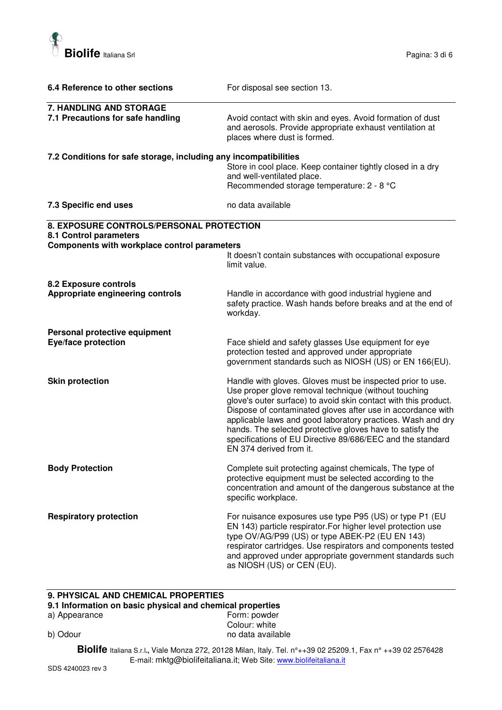

| 6.4 Reference to other sections                                                                                                                                                                | For disposal see section 13.                                                                                                                                                                                                                                                                                                                                                                                                                                              |
|------------------------------------------------------------------------------------------------------------------------------------------------------------------------------------------------|---------------------------------------------------------------------------------------------------------------------------------------------------------------------------------------------------------------------------------------------------------------------------------------------------------------------------------------------------------------------------------------------------------------------------------------------------------------------------|
| 7. HANDLING AND STORAGE<br>7.1 Precautions for safe handling                                                                                                                                   | Avoid contact with skin and eyes. Avoid formation of dust<br>and aerosols. Provide appropriate exhaust ventilation at<br>places where dust is formed.                                                                                                                                                                                                                                                                                                                     |
| 7.2 Conditions for safe storage, including any incompatibilities                                                                                                                               | Store in cool place. Keep container tightly closed in a dry<br>and well-ventilated place.<br>Recommended storage temperature: 2 - 8 °C                                                                                                                                                                                                                                                                                                                                    |
| 7.3 Specific end uses                                                                                                                                                                          | no data available                                                                                                                                                                                                                                                                                                                                                                                                                                                         |
| 8. EXPOSURE CONTROLS/PERSONAL PROTECTION<br>8.1 Control parameters<br>Components with workplace control parameters<br>It doesn't contain substances with occupational exposure<br>limit value. |                                                                                                                                                                                                                                                                                                                                                                                                                                                                           |
| 8.2 Exposure controls<br>Appropriate engineering controls                                                                                                                                      | Handle in accordance with good industrial hygiene and<br>safety practice. Wash hands before breaks and at the end of<br>workday.                                                                                                                                                                                                                                                                                                                                          |
| Personal protective equipment<br>Eye/face protection                                                                                                                                           | Face shield and safety glasses Use equipment for eye<br>protection tested and approved under appropriate<br>government standards such as NIOSH (US) or EN 166(EU).                                                                                                                                                                                                                                                                                                        |
| <b>Skin protection</b>                                                                                                                                                                         | Handle with gloves. Gloves must be inspected prior to use.<br>Use proper glove removal technique (without touching<br>glove's outer surface) to avoid skin contact with this product.<br>Dispose of contaminated gloves after use in accordance with<br>applicable laws and good laboratory practices. Wash and dry<br>hands. The selected protective gloves have to satisfy the<br>specifications of EU Directive 89/686/EEC and the standard<br>EN 374 derived from it. |
| <b>Body Protection</b>                                                                                                                                                                         | Complete suit protecting against chemicals, The type of<br>protective equipment must be selected according to the<br>concentration and amount of the dangerous substance at the<br>specific workplace.                                                                                                                                                                                                                                                                    |
| <b>Respiratory protection</b>                                                                                                                                                                  | For nuisance exposures use type P95 (US) or type P1 (EU<br>EN 143) particle respirator. For higher level protection use<br>type OV/AG/P99 (US) or type ABEK-P2 (EU EN 143)<br>respirator cartridges. Use respirators and components tested<br>and approved under appropriate government standards such<br>as NIOSH (US) or CEN (EU).                                                                                                                                      |

# **9. PHYSICAL AND CHEMICAL PROPERTIES**

# **9.1 Information on basic physical and chemical properties**

- a) Appearance
- Colour: white b) Odour **no data available** 
	- **Biolife** Italiana S.r.l**.,** Viale Monza 272, 20128 Milan, Italy. Tel. n°++39 02 25209.1, Fax n° ++39 02 2576428 E-mail: mktg@biolifeitaliana.it; Web Site: www.biolifeitaliana.it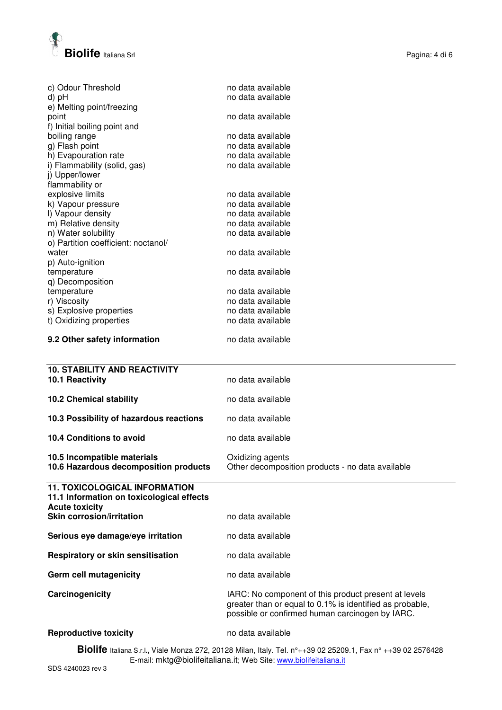

| c) Odour Threshold                  | no data available |  |
|-------------------------------------|-------------------|--|
| d) pH                               | no data available |  |
| e) Melting point/freezing           | no data available |  |
| point                               |                   |  |
| f) Initial boiling point and        | no data available |  |
| boiling range                       |                   |  |
| g) Flash point                      | no data available |  |
| h) Evapouration rate                | no data available |  |
| i) Flammability (solid, gas)        | no data available |  |
| j) Upper/lower                      |                   |  |
| flammability or                     |                   |  |
| explosive limits                    | no data available |  |
| k) Vapour pressure                  | no data available |  |
| I) Vapour density                   | no data available |  |
| m) Relative density                 | no data available |  |
| n) Water solubility                 | no data available |  |
| o) Partition coefficient: noctanol/ |                   |  |
| water                               | no data available |  |
| p) Auto-ignition                    |                   |  |
| temperature                         | no data available |  |
| q) Decomposition                    |                   |  |
| temperature                         | no data available |  |
| r) Viscosity                        | no data available |  |
| s) Explosive properties             | no data available |  |

#### **9.2 Other safety information** no data available

t) Oxidizing properties

| <b>10. STABILITY AND REACTIVITY</b><br><b>10.1 Reactivity</b>                                              | no data available                                                    |
|------------------------------------------------------------------------------------------------------------|----------------------------------------------------------------------|
| <b>10.2 Chemical stability</b>                                                                             | no data available                                                    |
| 10.3 Possibility of hazardous reactions                                                                    | no data available                                                    |
| 10.4 Conditions to avoid                                                                                   | no data available                                                    |
| 10.5 Incompatible materials<br>10.6 Hazardous decomposition products                                       | Oxidizing agents<br>Other decomposition products - no data available |
| <b>11. TOXICOLOGICAL INFORMATION</b><br>11.1 Information on toxicological effects<br><b>Acute toxicity</b> |                                                                      |
| <b>Skin corrosion/irritation</b>                                                                           | no data available                                                    |
| Serious eye damage/eye irritation                                                                          | no data available                                                    |

# **Respiratory or skin sensitisation no data available**

s) Explosive properties no data available<br>t) Oxidizing properties no data available

# **Germ cell mutagenicity no data available Carcinogenicity** IARC: No component of this product present at levels greater than or equal to 0.1% is identified as probable, possible or confirmed human carcinogen by IARC.

#### **Reproductive toxicity no data available**

**Biolife** Italiana S.r.l**.,** Viale Monza 272, 20128 Milan, Italy. Tel. n°++39 02 25209.1, Fax n° ++39 02 2576428 E-mail: mktg@biolifeitaliana.it; Web Site: www.biolifeitaliana.it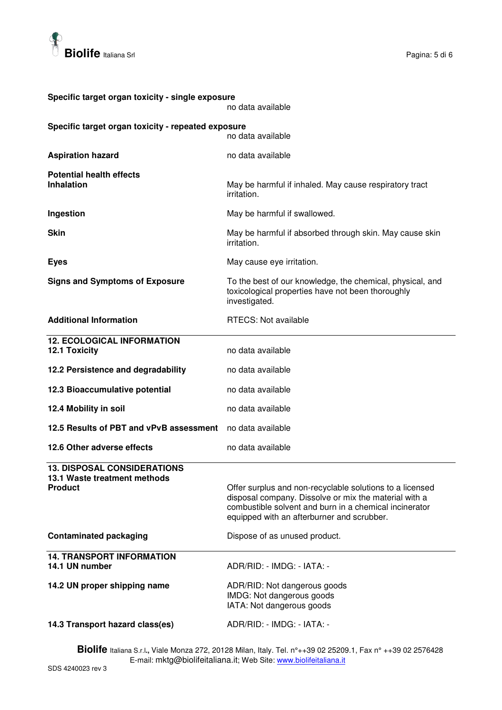

| Specific target organ toxicity - single exposure<br>no data available                |                                                                                                                                                                                                                           |  |  |
|--------------------------------------------------------------------------------------|---------------------------------------------------------------------------------------------------------------------------------------------------------------------------------------------------------------------------|--|--|
| Specific target organ toxicity - repeated exposure<br>no data available              |                                                                                                                                                                                                                           |  |  |
| <b>Aspiration hazard</b>                                                             | no data available                                                                                                                                                                                                         |  |  |
| <b>Potential health effects</b><br><b>Inhalation</b>                                 | May be harmful if inhaled. May cause respiratory tract<br>irritation.                                                                                                                                                     |  |  |
| Ingestion                                                                            | May be harmful if swallowed.                                                                                                                                                                                              |  |  |
| <b>Skin</b>                                                                          | May be harmful if absorbed through skin. May cause skin<br>irritation.                                                                                                                                                    |  |  |
| <b>Eyes</b>                                                                          | May cause eye irritation.                                                                                                                                                                                                 |  |  |
| <b>Signs and Symptoms of Exposure</b>                                                | To the best of our knowledge, the chemical, physical, and<br>toxicological properties have not been thoroughly<br>investigated.                                                                                           |  |  |
| <b>Additional Information</b>                                                        | <b>RTECS: Not available</b>                                                                                                                                                                                               |  |  |
| <b>12. ECOLOGICAL INFORMATION</b><br>12.1 Toxicity                                   | no data available                                                                                                                                                                                                         |  |  |
| 12.2 Persistence and degradability                                                   | no data available                                                                                                                                                                                                         |  |  |
| 12.3 Bioaccumulative potential                                                       | no data available                                                                                                                                                                                                         |  |  |
| 12.4 Mobility in soil                                                                | no data available                                                                                                                                                                                                         |  |  |
| 12.5 Results of PBT and vPvB assessment                                              | no data available                                                                                                                                                                                                         |  |  |
| 12.6 Other adverse effects                                                           | no data available                                                                                                                                                                                                         |  |  |
| <b>13. DISPOSAL CONSIDERATIONS</b><br>13.1 Waste treatment methods<br><b>Product</b> | Offer surplus and non-recyclable solutions to a licensed<br>disposal company. Dissolve or mix the material with a<br>combustible solvent and burn in a chemical incinerator<br>equipped with an afterburner and scrubber. |  |  |
| <b>Contaminated packaging</b>                                                        | Dispose of as unused product.                                                                                                                                                                                             |  |  |
| <b>14. TRANSPORT INFORMATION</b><br>14.1 UN number                                   | ADR/RID: - IMDG: - IATA: -                                                                                                                                                                                                |  |  |
| 14.2 UN proper shipping name                                                         | ADR/RID: Not dangerous goods<br>IMDG: Not dangerous goods<br>IATA: Not dangerous goods                                                                                                                                    |  |  |
| 14.3 Transport hazard class(es)                                                      | ADR/RID: - IMDG: - IATA: -                                                                                                                                                                                                |  |  |

**Biolife** Italiana S.r.l**.,** Viale Monza 272, 20128 Milan, Italy. Tel. n°++39 02 25209.1, Fax n° ++39 02 2576428 E-mail: mktg@biolifeitaliana.it; Web Site: www.biolifeitaliana.it